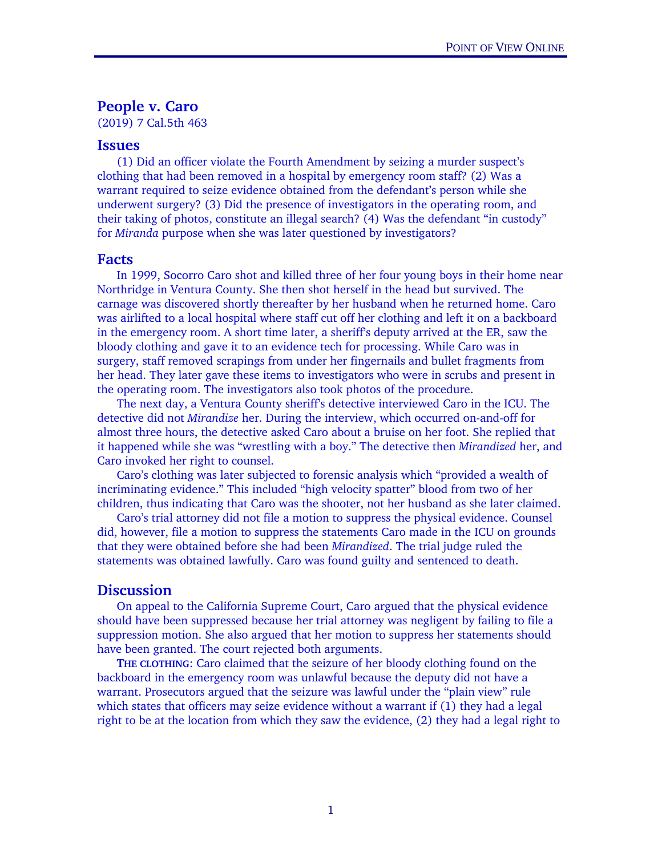## People v. Caro

(2019) 7 Cal.5th 463

## Issues

(1) Did an officer violate the Fourth Amendment by seizing a murder suspect's clothing that had been removed in a hospital by emergency room staff? (2) Was a warrant required to seize evidence obtained from the defendant's person while she underwent surgery? (3) Did the presence of investigators in the operating room, and their taking of photos, constitute an illegal search? (4) Was the defendant "in custody" for *Miranda* purpose when she was later questioned by investigators?

## Facts

 In 1999, Socorro Caro shot and killed three of her four young boys in their home near Northridge in Ventura County. She then shot herself in the head but survived. The carnage was discovered shortly thereafter by her husband when he returned home. Caro was airlifted to a local hospital where staff cut off her clothing and left it on a backboard in the emergency room. A short time later, a sheriff's deputy arrived at the ER, saw the bloody clothing and gave it to an evidence tech for processing. While Caro was in surgery, staff removed scrapings from under her fingernails and bullet fragments from her head. They later gave these items to investigators who were in scrubs and present in the operating room. The investigators also took photos of the procedure.

The next day, a Ventura County sheriff's detective interviewed Caro in the ICU. The detective did not *Mirandize* her. During the interview, which occurred on-and-off for almost three hours, the detective asked Caro about a bruise on her foot. She replied that it happened while she was "wrestling with a boy." The detective then *Mirandized* her, and Caro invoked her right to counsel.

Caro's clothing was later subjected to forensic analysis which "provided a wealth of incriminating evidence." This included "high velocity spatter" blood from two of her children, thus indicating that Caro was the shooter, not her husband as she later claimed.

Caro's trial attorney did not file a motion to suppress the physical evidence. Counsel did, however, file a motion to suppress the statements Caro made in the ICU on grounds that they were obtained before she had been *Mirandized*. The trial judge ruled the statements was obtained lawfully. Caro was found guilty and sentenced to death.

## **Discussion**

 On appeal to the California Supreme Court, Caro argued that the physical evidence should have been suppressed because her trial attorney was negligent by failing to file a suppression motion. She also argued that her motion to suppress her statements should have been granted. The court rejected both arguments.

THE CLOTHING: Caro claimed that the seizure of her bloody clothing found on the backboard in the emergency room was unlawful because the deputy did not have a warrant. Prosecutors argued that the seizure was lawful under the "plain view" rule which states that officers may seize evidence without a warrant if (1) they had a legal right to be at the location from which they saw the evidence, (2) they had a legal right to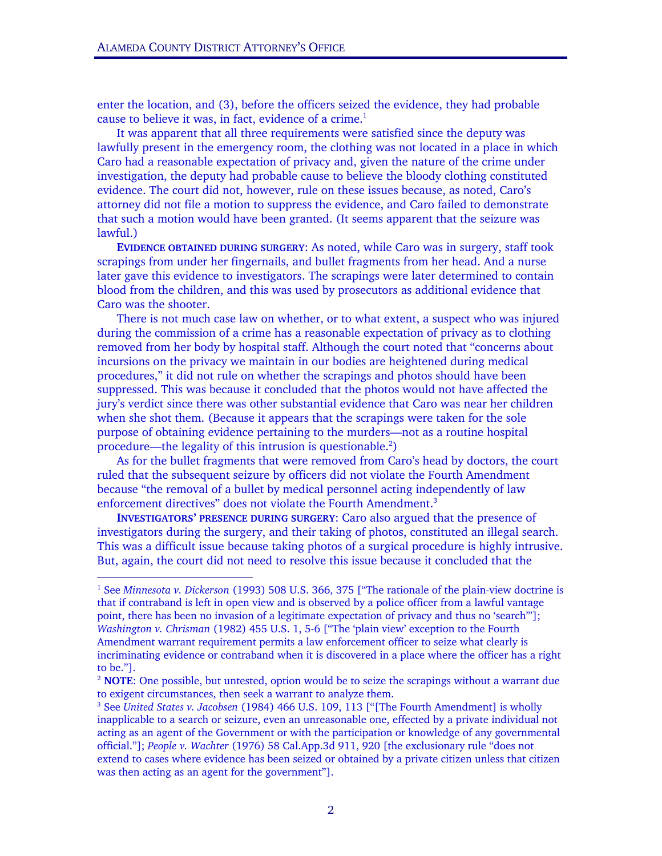-

enter the location, and (3), before the officers seized the evidence, they had probable cause to believe it was, in fact, evidence of a crime. $<sup>1</sup>$ </sup>

 It was apparent that all three requirements were satisfied since the deputy was lawfully present in the emergency room, the clothing was not located in a place in which Caro had a reasonable expectation of privacy and, given the nature of the crime under investigation, the deputy had probable cause to believe the bloody clothing constituted evidence. The court did not, however, rule on these issues because, as noted, Caro's attorney did not file a motion to suppress the evidence, and Caro failed to demonstrate that such a motion would have been granted. (It seems apparent that the seizure was lawful.)

EVIDENCE OBTAINED DURING SURGERY: As noted, while Caro was in surgery, staff took scrapings from under her fingernails, and bullet fragments from her head. And a nurse later gave this evidence to investigators. The scrapings were later determined to contain blood from the children, and this was used by prosecutors as additional evidence that Caro was the shooter.

There is not much case law on whether, or to what extent, a suspect who was injured during the commission of a crime has a reasonable expectation of privacy as to clothing removed from her body by hospital staff. Although the court noted that "concerns about incursions on the privacy we maintain in our bodies are heightened during medical procedures," it did not rule on whether the scrapings and photos should have been suppressed. This was because it concluded that the photos would not have affected the jury's verdict since there was other substantial evidence that Caro was near her children when she shot them. (Because it appears that the scrapings were taken for the sole purpose of obtaining evidence pertaining to the murders—not as a routine hospital procedure—the legality of this intrusion is questionable. $2$ )

 As for the bullet fragments that were removed from Caro's head by doctors, the court ruled that the subsequent seizure by officers did not violate the Fourth Amendment because "the removal of a bullet by medical personnel acting independently of law enforcement directives" does not violate the Fourth Amendment.<sup>3</sup>

INVESTIGATORS' PRESENCE DURING SURGERY: Caro also argued that the presence of investigators during the surgery, and their taking of photos, constituted an illegal search. This was a difficult issue because taking photos of a surgical procedure is highly intrusive. But, again, the court did not need to resolve this issue because it concluded that the

<sup>1</sup> See *Minnesota v. Dickerson* (1993) 508 U.S. 366, 375 ["The rationale of the plain-view doctrine is that if contraband is left in open view and is observed by a police officer from a lawful vantage point, there has been no invasion of a legitimate expectation of privacy and thus no 'search'"]; *Washington v. Chrisman* (1982) 455 U.S. 1, 5-6 ["The 'plain view' exception to the Fourth Amendment warrant requirement permits a law enforcement officer to seize what clearly is incriminating evidence or contraband when it is discovered in a place where the officer has a right to be."].

 $2$  **NOTE**: One possible, but untested, option would be to seize the scrapings without a warrant due to exigent circumstances, then seek a warrant to analyze them.

<sup>3</sup> See *United States v. Jacobsen* (1984) 466 U.S. 109, 113 ["[The Fourth Amendment] is wholly inapplicable to a search or seizure, even an unreasonable one, effected by a private individual not acting as an agent of the Government or with the participation or knowledge of any governmental official."]; *People v. Wachter* (1976) 58 Cal.App.3d 911, 920 [the exclusionary rule "does not extend to cases where evidence has been seized or obtained by a private citizen unless that citizen was then acting as an agent for the government"].